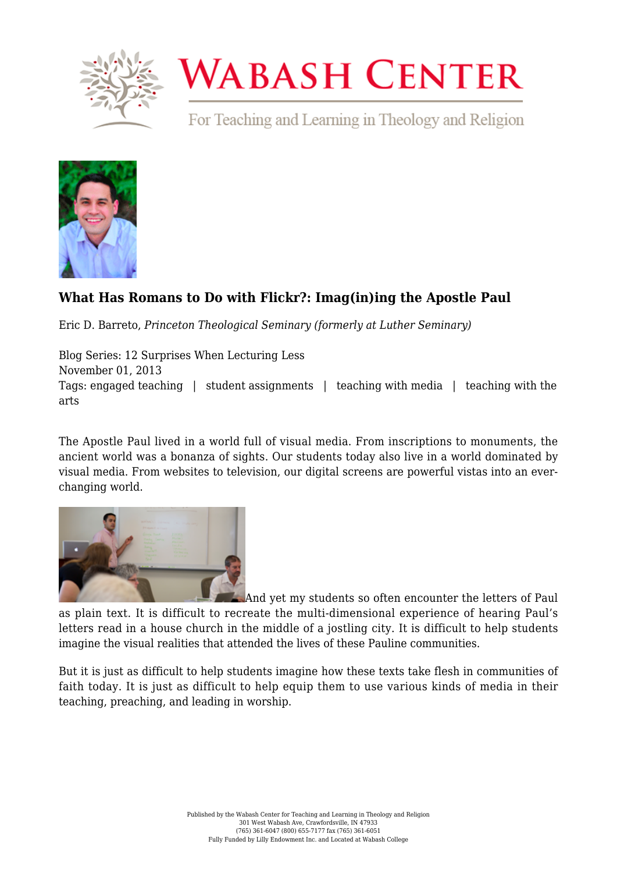

## **WABASH CENTER**

For Teaching and Learning in Theology and Religion



## **[What Has Romans to Do with Flickr?: Imag\(in\)ing the Apostle Paul](https://www.wabashcenter.wabash.edu/2013/11/what-has-romans-to-do-with-flickr-imagining-the-apostle-paul/)**

Eric D. Barreto, *Princeton Theological Seminary (formerly at Luther Seminary)*

Blog Series: 12 Surprises When Lecturing Less November 01, 2013 Tags: engaged teaching | student assignments | teaching with media | teaching with the arts

The Apostle Paul lived in a world full of visual media. From inscriptions to monuments, the ancient world was a bonanza of sights. Our students today also live in a world dominated by visual media. From websites to television, our digital screens are powerful vistas into an everchanging world.



And yet my students so often encounter the letters of Paul as plain text. It is difficult to recreate the multi-dimensional experience of hearing Paul's letters read in a house church in the middle of a jostling city. It is difficult to help students imagine the visual realities that attended the lives of these Pauline communities.

But it is just as difficult to help students imagine how these texts take flesh in communities of faith today. It is just as difficult to help equip them to use various kinds of media in their teaching, preaching, and leading in worship.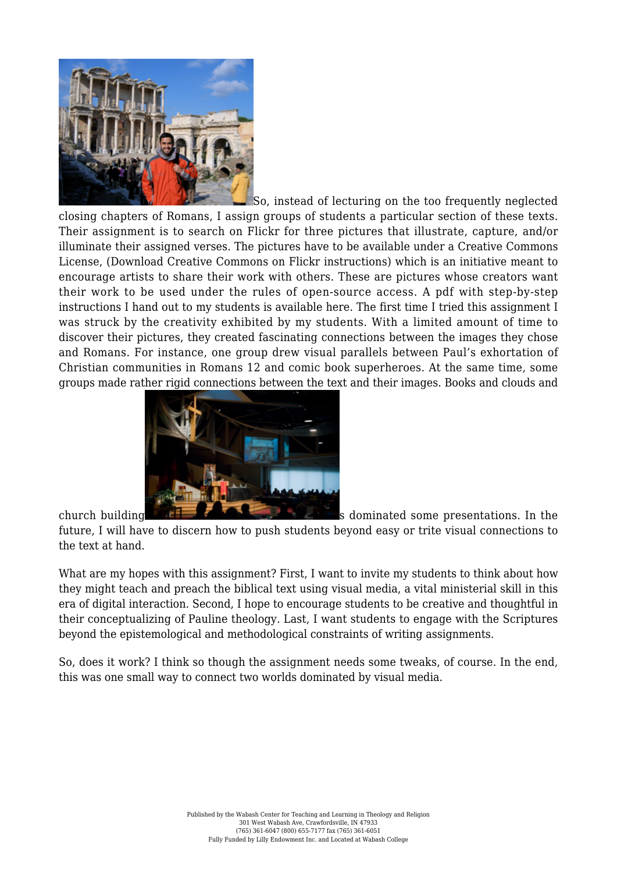

So, instead of lecturing on the too frequently neglected closing chapters of Romans, I assign groups of students a particular section of these texts. Their assignment is to search on Flickr for three pictures that illustrate, capture, and/or illuminate their assigned verses. The pictures have to be available under a [Creative Commons](http://creativecommons.org/) [License,](http://creativecommons.org/) ([Download Creative Commons on Flickr](https://www.wabashcenter.wabash.edu/wp-content/uploads/2017/06/creative-commons-on-flickr.pdf) instructions) which is an initiative meant to encourage artists to share their work with others. These are pictures whose creators want their work to be used under the rules of open-source access. A pdf with step-by-step instructions I hand out to my students is available here. The first time I tried this assignment I was struck by the creativity exhibited by my students. With a limited amount of time to discover their pictures, they created fascinating connections between the images they chose and Romans. For instance, one group drew visual parallels between Paul's exhortation of Christian communities in Romans 12 and comic book superheroes. At the same time, some groups made rather rigid connections between the text and their images. Books and clouds and



church building s dominated some presentations. In the

future, I will have to discern how to push students beyond easy or trite visual connections to the text at hand.

What are my hopes with this assignment? First, I want to invite my students to think about how they might teach and preach the biblical text using visual media, a vital ministerial skill in this era of digital interaction. Second, I hope to encourage students to be creative and thoughtful in their conceptualizing of Pauline theology. Last, I want students to engage with the Scriptures beyond the epistemological and methodological constraints of writing assignments.

So, does it work? I think so though the assignment needs some tweaks, of course. In the end, this was one small way to connect two worlds dominated by visual media.